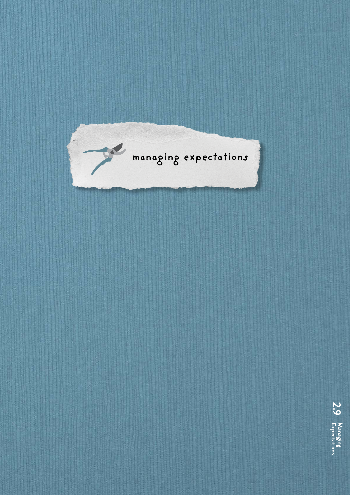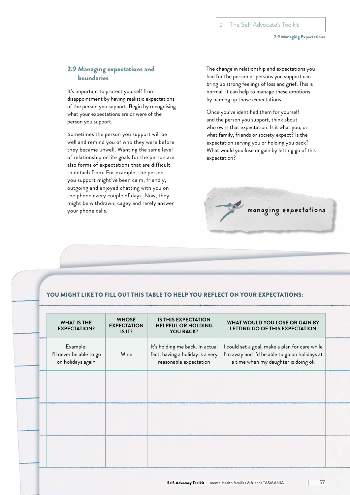2.9 Managing Expectations

## 2.9 Managing expectations and boundaries

It's important to protect yourself from disappointment by having realistic expectations of the person you support. Begin by recognising what your expectations are or were of the person you support.

Sometimes the person you support will be well and remind you of who they were before they became unwell. Wanting the same level of relationship or life goals for the person are also forms of expectations that are difficult to detach from. For example, the person you support might've been calm, friendly, outgoing and enjoyed chatting with you on the phone every couple of days. Now, they might be withdrawn, cagey and rarely answer your phone calls.

The change in relationship and expectations you had for the person or persons you support can bring up strong feelings of loss and grief. This is normal. It can help to manage these emotions by naming up those expectations.

Once you've identified them for yourself and the person you support, think about who owns that expectation. Is it what you, or what family, friends or society expect? Is the expectation serving you or holding you back? What would you lose or gain by letting go of this expectation?



## YOU MIGHT LIKE TO FILL OUT THIS TABLE TO HELP YOU REFLECT ON YOUR EXPECTATIONS:

| <b>WHAT IS THE</b><br><b>EXPECTATION?</b>                 | <b>WHOSE</b><br><b>EXPECTATION</b><br>IS IT? | <b>IS THIS EXPECTATION</b><br><b>HELPFUL OR HOLDING</b><br><b>YOU BACK?</b>                   | WHAT WOULD YOU LOSE OR GAIN BY<br>LETTING GO OF THIS EXPECTATION                                                                       |
|-----------------------------------------------------------|----------------------------------------------|-----------------------------------------------------------------------------------------------|----------------------------------------------------------------------------------------------------------------------------------------|
| Example:<br>I'll never be able to go<br>on holidays again | Mine                                         | It's holding me back. In actual<br>fact, having a holiday is a very<br>reasonable expectation | I could set a goal, make a plan for care while<br>I'm away and I'd be able to go on holidays at<br>a time when my daughter is doing ok |
|                                                           |                                              |                                                                                               |                                                                                                                                        |
|                                                           |                                              |                                                                                               |                                                                                                                                        |
|                                                           |                                              |                                                                                               |                                                                                                                                        |
|                                                           |                                              |                                                                                               |                                                                                                                                        |